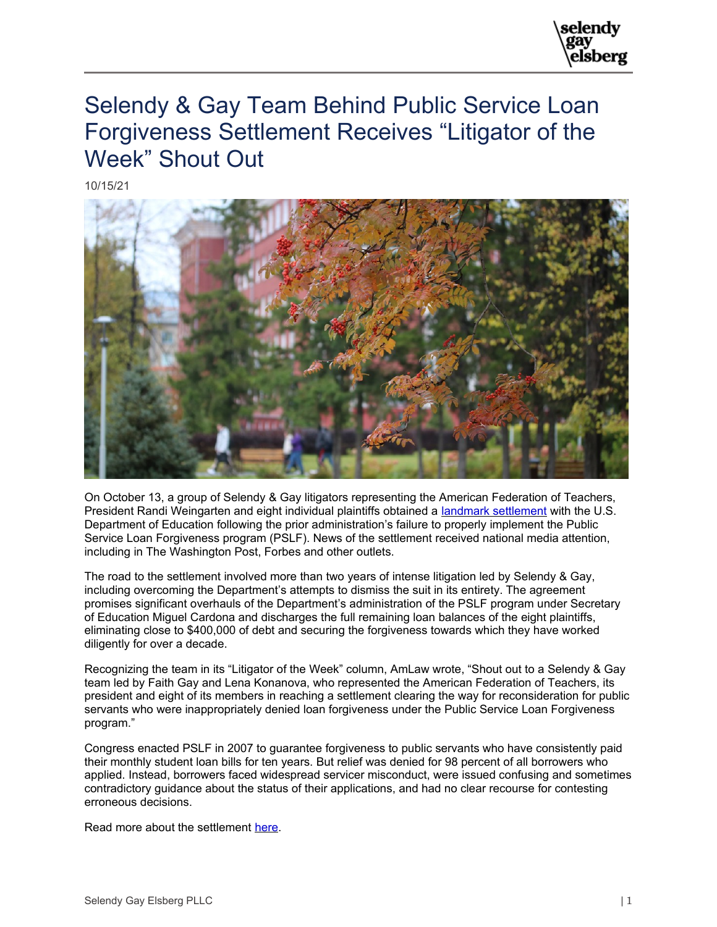

## Selendy & Gay Team Behind Public Service Loan Forgiveness Settlement Receives "Litigator of the Week" Shout Out

10/15/21



On October 13, a group of Selendy & Gay litigators representing the American Federation of Teachers, President Randi Weingarten and eight individual plaintiffs obtained a [landmark settlement](https://www.selendygay.com/news/general/2021-10-13-selendy-gay-obtains-landmark-settlement-on-behalf-of-aft-in-public-service-loan-forgiveness-suit/_res/id=Attachments/index=0/2021.10.12%20Weingarten%20v.%20Cardona%20Executed%20Settlement%20Agreement.pdf) with the U.S. Department of Education following the prior administration's failure to properly implement the Public Service Loan Forgiveness program (PSLF). News of the settlement received national media attention, including in The Washington Post, Forbes and other outlets.

The road to the settlement involved more than two years of intense litigation led by Selendy & Gay, including overcoming the Department's attempts to dismiss the suit in its entirety. The agreement promises significant overhauls of the Department's administration of the PSLF program under Secretary of Education Miguel Cardona and discharges the full remaining loan balances of the eight plaintiffs, eliminating close to \$400,000 of debt and securing the forgiveness towards which they have worked diligently for over a decade.

Recognizing the team in its "Litigator of the Week" column, AmLaw wrote, "Shout out to a Selendy & Gay team led by Faith Gay and Lena Konanova, who represented the American Federation of Teachers, its president and eight of its members in reaching a settlement clearing the way for reconsideration for public servants who were inappropriately denied loan forgiveness under the Public Service Loan Forgiveness program."

Congress enacted PSLF in 2007 to guarantee forgiveness to public servants who have consistently paid their monthly student loan bills for ten years. But relief was denied for 98 percent of all borrowers who applied. Instead, borrowers faced widespread servicer misconduct, were issued confusing and sometimes contradictory guidance about the status of their applications, and had no clear recourse for contesting erroneous decisions.

Read more about the settlement [here.](https://www.selendygay.com/news/general/2021-10-13-selendy-gay-obtains-landmark-settlement-on-behalf-of-aft-in-public-service-loan-forgiveness-suit)